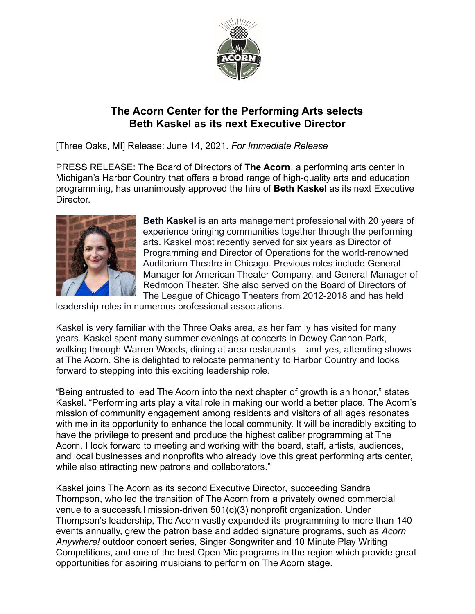

## **The Acorn Center for the Performing Arts selects Beth Kaskel as its next Executive Director**

[Three Oaks, MI] Release: June 14, 2021. *For Immediate Release*

PRESS RELEASE: The Board of Directors of **The Acorn**, a performing arts center in Michigan's Harbor Country that offers a broad range of high-quality arts and education programming, has unanimously approved the hire of **Beth Kaskel** as its next Executive Director.



**Beth Kaskel** is an arts management professional with 20 years of experience bringing communities together through the performing arts. Kaskel most recently served for six years as Director of Programming and Director of Operations for the world-renowned Auditorium Theatre in Chicago. Previous roles include General Manager for American Theater Company, and General Manager of Redmoon Theater. She also served on the Board of Directors of The League of Chicago Theaters from 2012-2018 and has held

leadership roles in numerous professional associations.

Kaskel is very familiar with the Three Oaks area, as her family has visited for many years. Kaskel spent many summer evenings at concerts in Dewey Cannon Park, walking through Warren Woods, dining at area restaurants – and yes, attending shows at The Acorn. She is delighted to relocate permanently to Harbor Country and looks forward to stepping into this exciting leadership role.

"Being entrusted to lead The Acorn into the next chapter of growth is an honor," states Kaskel. "Performing arts play a vital role in making our world a better place. The Acorn's mission of community engagement among residents and visitors of all ages resonates with me in its opportunity to enhance the local community. It will be incredibly exciting to have the privilege to present and produce the highest caliber programming at The Acorn. I look forward to meeting and working with the board, staff, artists, audiences, and local businesses and nonprofits who already love this great performing arts center, while also attracting new patrons and collaborators."

Kaskel joins The Acorn as its second Executive Director, succeeding Sandra Thompson, who led the transition of The Acorn from a privately owned commercial venue to a successful mission-driven 501(c)(3) nonprofit organization. Under Thompson's leadership, The Acorn vastly expanded its programming to more than 140 events annually, grew the patron base and added signature programs, such as *Acorn Anywhere!* outdoor concert series, Singer Songwriter and 10 Minute Play Writing Competitions, and one of the best Open Mic programs in the region which provide great opportunities for aspiring musicians to perform on The Acorn stage.